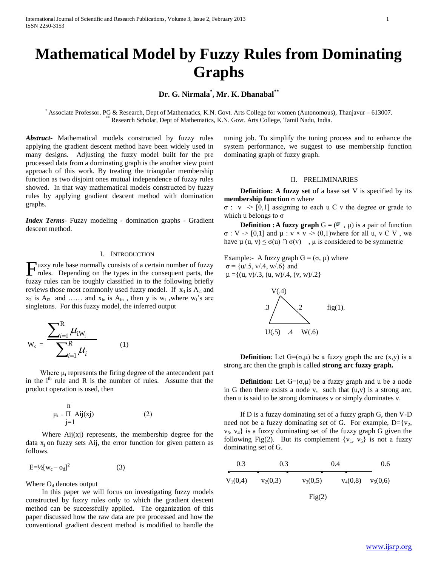# **Mathematical Model by Fuzzy Rules from Dominating Graphs**

# **Dr. G. Nirmala\* , Mr. K. Dhanabal\*\***

\* Associate Professor, PG & Research, Dept of Mathematics, K.N. Govt. Arts College for women (Autonomous), Thanjavur – 613007. Research Scholar, Dept of Mathematics, K.N. Govt. Arts College, Tamil Nadu, India.

*Abstract***-** Mathematical models constructed by fuzzy rules applying the gradient descent method have been widely used in many designs. Adjusting the fuzzy model built for the pre processed data from a dominating graph is the another view point approach of this work. By treating the triangular membership function as two disjoint ones mutual independence of fuzzy rules showed. In that way mathematical models constructed by fuzzy rules by applying gradient descent method with domination graphs.

*Index Terms*- Fuzzy modeling - domination graphs - Gradient descent method.

#### I. INTRODUCTION

uzzy rule base normally consists of a certain number of fuzzy Fuzzy rule base normally consists of a certain number of fuzzy<br>rules. Depending on the types in the consequent parts, the fuzzy rules can be toughly classified in to the following briefly reviews those most commonly used fuzzy model. If  $x_1$  is  $A_{i1}$  and  $x_2$  is  $A_{i2}$  and … and  $x_{in}$  is  $A_{in}$ , then y is  $w_i$ , where  $w_i$ 's are singletons. For this fuzzy model, the inferred output

$$
W_c = \frac{\sum_{i=1}^{R} \mu_{iW_i}}{\sum_{i=1}^{R} \mu_i}
$$
 (1)

Where  $\mu_i$  represents the firing degree of the antecendent part in the  $i<sup>th</sup>$  rule and R is the number of rules. Assume that the product operation is used, then

$$
\mu_i = \prod_{j=1}^n Aij(xj)
$$
 (2)

Where  $\text{Aij}(xj)$  represents, the membership degree for the data  $x_i$  on fuzzy sets Aij, the error function for given pattern as follows.

$$
E = \frac{1}{2} [w_c - o_d]^2 \tag{3}
$$

Where  $O_d$  denotes output

 In this paper we will focus on investigating fuzzy models constructed by fuzzy rules only to which the gradient descent method can be successfully applied. The organization of this paper discussed how the raw data are pre processed and how the conventional gradient descent method is modified to handle the

tuning job. To simplify the tuning process and to enhance the system performance, we suggest to use membership function dominating graph of fuzzy graph.

#### II. PRELIMINARIES

 **Definition: A fuzzy set** of a base set V is specified by its **membership function** σ where

 $\sigma$ : v  $\rightarrow$  [0,1] assigning to each u  $\epsilon$  v the degree or grade to which u belongs to  $\sigma$ 

**Definition : A fuzzy graph**  $G = (\sigma, \mu)$  is a pair of function  $\sigma: V \rightarrow [0,1]$  and  $\mu: v \times v \rightarrow (0,1)$  where for all u,  $v \in V$ , we have  $\mu$  (u, v)  $\leq \sigma(u) \cap \sigma(v)$ ,  $\mu$  is considered to be symmetric

Example:- A fuzzy graph  $G = (\sigma, \mu)$  where  $\sigma$  = {u/.5, v/.4, w/.6} and  $\mu = \{(u, v)/0.3, (u, w)/0.4, (v, w)/0.2\}$ 



**Definition**: Let  $G=(\sigma,\mu)$  be a fuzzy graph the arc  $(x,y)$  is a strong arc then the graph is called **strong arc fuzzy graph.**

**Definition:** Let  $G = (\sigma, \mu)$  be a fuzzy graph and u be a node in G then there exists a node v, such that  $(u,v)$  is a strong arc, then u is said to be strong dominates v or simply dominates v.

 If D is a fuzzy dominating set of a fuzzy graph G, then V-D need not be a fuzzy dominating set of G. For example,  $D = \{v_2,$  $v_3$ ,  $v_4$  is a fuzzy dominating set of the fuzzy graph G given the following Fig(2). But its complement  $\{v_1, v_5\}$  is not a fuzzy dominating set of G.

0.3 0.3 0.6  
\n
$$
V_1(0,4)
$$
 0.3 0.4 0.6  
\n $V_3(0,5)$  0.4 0.6  
\n $v_4(0,8)$  0.6  
\nFig(2)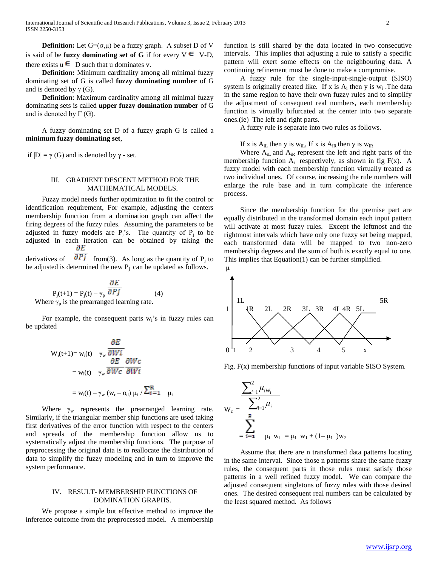**Definition:** Let  $G = (\sigma, \mu)$  be a fuzzy graph. A subset D of V is said of be **fuzzy dominating set of G** if for every  $V \in V-D$ , there exists  $u \in D$  such that u dominates v.

 **Definition:** Minimum cardinality among all minimal fuzzy dominating set of G is called **fuzzy dominating number** of G and is denoted by  $\gamma$  (G).

 **Definition**: Maximum cardinality among all minimal fuzzy dominating sets is called **upper fuzzy domination number** of G and is denoted by  $\Gamma$  (G).

 A fuzzy dominating set D of a fuzzy graph G is called a **minimum fuzzy dominating set**,

if  $|D| = \gamma(G)$  and is denoted by  $\gamma$  - set.

#### III. GRADIENT DESCENT METHOD FOR THE MATHEMATICAL MODELS.

 Fuzzy model needs further optimization to fit the control or identification requirement, For example, adjusting the centers membership function from a domination graph can affect the firing degrees of the fuzzy rules. Assuming the parameters to be adjusted in fuzzy models are  $P_j$ 's. The quantity of  $P_j$  to be adjusted in each iteration can be obtained by taking the дЕ

derivatives of  $\sigma P$  from(3). As long as the quantity of P<sub>j</sub> to be adjusted is determined the new  $P_i$  can be updated as follows.

$$
P_j(t+1) = P_j(t) - \gamma_p \frac{\partial E}{\partial Pj}
$$
 (4)  
Where  $\gamma_p$  is the prearranged learning rate.

For example, the consequent parts  $w_i$ 's in fuzzy rules can be updated

$$
W_{i}(t+1) = w_{i}(t) - \gamma_{w} \frac{\partial E}{\partial W i}
$$
  
=  $w_{i}(t) - \gamma_{w} \frac{\partial E}{\partial W c} \frac{\partial W c}{\partial W i}$   
=  $w_{i}(t) - \gamma_{w} (w_{c} - o_{d}) \mu_{i} / \sum_{i=1}^{R} \mu_{i}$ 

Where  $\gamma_w$  represents the prearranged learning rate. Similarly, if the triangular member ship functions are used taking first derivatives of the error function with respect to the centers and spreads of the membership function allow us to systematically adjust the membership functions. The purpose of preprocessing the original data is to reallocate the distribution of data to simplify the fuzzy modeling and in turn to improve the system performance.

## IV. RESULT- MEMBERSHIP FUNCTIONS OF DOMINATION GRAPHS.

 We propose a simple but effective method to improve the inference outcome from the preprocessed model. A membership function is still shared by the data located in two consecutive intervals. This implies that adjusting a rule to satisfy a specific pattern will exert some effects on the neighbouring data. A continuing refinement must be done to make a compromise.

 A fuzzy rule for the single-input-single-output (SISO) system is originally created like. If x is  $A_i$  then y is  $w_i$ . The data in the same region to have their own fuzzy rules and to simplify the adjustment of consequent real numbers, each membership function is virtually bifurcated at the center into two separate ones.(ie) The left and right parts.

A fuzzy rule is separate into two rules as follows.

### If x is  $A_{iL}$  then y is w<sub>iL</sub>, If x is  $A_{iR}$  then y is w<sub>iR</sub>

Where  $A_{iI}$  and  $A_{iR}$  represent the left and right parts of the membership function  $A_i$  respectively, as shown in fig F(x). A fuzzy model with each membership function virtually treated as two individual ones. Of course, increasing the rule numbers will enlarge the rule base and in turn complicate the inference process.

 Since the membership function for the premise part are equally distributed in the transformed domain each input pattern will activate at most fuzzy rules. Except the leftmost and the rightmost intervals which have only one fuzzy set being mapped, each transformed data will be mapped to two non-zero membership degrees and the sum of both is exactly equal to one. This implies that Equation(1) can be further simplified.



Fig. F(x) membership functions of input variable SISO System.

$$
W_c = \frac{\sum_{i=1}^{2} \mu_{iW_i}}{\sum_{i=1}^{2} \mu_i}
$$
  
=  $\sum_{i=1}^{2} \mu_i w_i = \mu_1 w_1 + (1 - \mu_1) w_2$ 

 Assume that there are n transformed data patterns locating in the same interval. Since those n patterns share the same fuzzy rules, the consequent parts in those rules must satisfy those patterns in a well refined fuzzy model. We can compare the adjusted consequent singletons of fuzzy rules with those desired ones. The desired consequent real numbers can be calculated by the least squared method. As follows